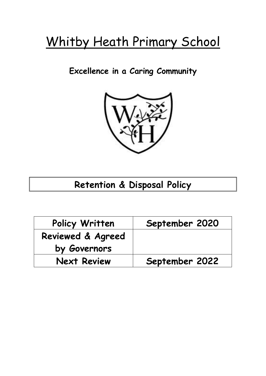# Whitby Heath Primary School

### **Excellence in a Caring Community**



## **Retention & Disposal Policy**

| Policy Written     | September 2020 |
|--------------------|----------------|
| Reviewed & Agreed  |                |
| by Governors       |                |
| <b>Next Review</b> | September 2022 |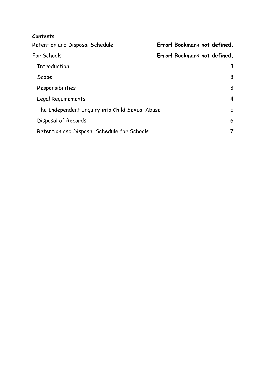| Contents                                        |                              |
|-------------------------------------------------|------------------------------|
| Retention and Disposal Schedule                 | Error! Bookmark not defined. |
| For Schools                                     | Error! Bookmark not defined. |
| Introduction                                    | 3                            |
| Scope                                           | 3                            |
| Responsibilities                                | 3                            |
| Legal Requirements                              | $\overline{4}$               |
| The Independent Inquiry into Child Sexual Abuse |                              |
| Disposal of Records                             | 6                            |
| Retention and Disposal Schedule for Schools     |                              |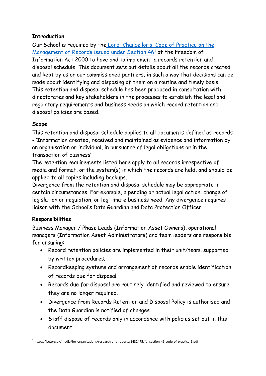#### <span id="page-2-0"></span>**Introduction**

Our School is required by the [Lord Chancellor's Code of Practice on the](https://ico.org.uk/media/for-organisations/research-and-reports/1432475/foi-section-46-code-of-practice-1.pdf)  [Management of Records issued under Section 46](https://ico.org.uk/media/for-organisations/research-and-reports/1432475/foi-section-46-code-of-practice-1.pdf)<sup>1</sup> of the Freedom of Information Act 2000 to have and to implement a records retention and disposal schedule. This document sets out details about all the records created and kept by us or our commissioned partners, in such a way that decisions can be made about identifying and disposing of them on a routine and timely basis. This retention and disposal schedule has been produced in consultation with directorates and key stakeholders in the processes to establish the legal and regulatory requirements and business needs on which record retention and disposal policies are based.

#### <span id="page-2-1"></span>**Scope**

This retention and disposal schedule applies to all documents defined as records - 'Information created, received and maintained as evidence and information by an organisation or individual, in pursuance of legal obligations or in the transaction of business'

The retention requirements listed here apply to all records irrespective of media and format, or the system(s) in which the records are held, and should be applied to all copies including backups.

Divergence from the retention and disposal schedule may be appropriate in certain circumstances. For example, a pending or actual legal action, change of legislation or regulation, or legitimate business need. Any divergence requires liaison with the School's Data Guardian and Data Protection Officer.

#### <span id="page-2-2"></span>**Responsibilities**

1

Business Manager / Phase Leads (Information Asset Owners), operational managers (Information Asset Administrators) and team leaders are responsible for ensuring:

- Record retention policies are implemented in their unit/team, supported by written procedures.
- Recordkeeping systems and arrangement of records enable identification of records due for disposal.
- Records due for disposal are routinely identified and reviewed to ensure they are no longer required.
- Divergence from Records Retention and Disposal Policy is authorised and the Data Guardian is notified of changes.
- Staff dispose of records only in accordance with policies set out in this document.

<sup>&</sup>lt;sup>1</sup> https://ico.org.uk/media/for-organisations/research-and-reports/1432475/foi-section-46-code-of-practice-1.pdf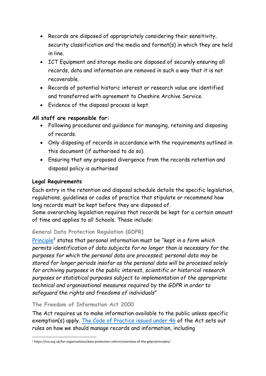- Records are disposed of appropriately considering their sensitivity, security classification and the media and format(s) in which they are held in line.
- ICT Equipment and storage media are disposed of securely ensuring all records, data and information are removed in such a way that it is not recoverable.
- Records of potential historic interest or research value are identified and transferred with agreement to Cheshire Archive Service.
- Evidence of the disposal process is kept.

#### **All staff are responsible for:**

- Following procedures and guidance for managing, retaining and disposing of records.
- Only disposing of records in accordance with the requirements outlined in this document (if authorised to do so).
- Ensuring that any proposed divergence from the records retention and disposal policy is authorised

#### <span id="page-3-0"></span>**Legal Requirements**

Each entry in the retention and disposal schedule details the specific legislation, regulations, guidelines or codes of practice that stipulate or recommend how long records must be kept before they are disposed of.

Some overarching legislation requires that records be kept for a certain amount of time and applies to all Schools. These include:

#### **General Data Protection Regulation (GDPR)**

[Principle](https://ico.org.uk/for-organisations/data-protection-reform/overview-of-the-gdpr/principles/)<sup>2</sup> states that personal information must be *"kept in a form which permits identification of data subjects for no longer than is necessary for the purposes for which the personal data are processed; personal data may be stored for longer periods insofar as the personal data will be processed solely for archiving purposes in the public interest, scientific or historical research purposes or statistical purposes subject to implementation of the appropriate technical and organisational measures required by the GDPR in order to safeguard the rights and freedoms of individuals*"

#### **The Freedom of Information Act 2000**

The Act requires us to make information available to the public unless specific exemption(s) apply. [The Code of Practice issued under 46](https://ico.org.uk/media/for-organisations/research-and-reports/1432475/foi-section-46-code-of-practice-1.pdf) of the Act sets out rules on how we should manage records and information, including

<sup>1</sup> <sup>2</sup> https://ico.org.uk/for-organisations/data-protection-reform/overview-of-the-gdpr/principles/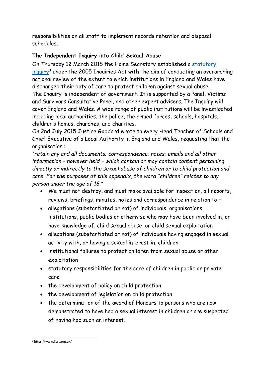responsibilities on all staff to implement records retention and disposal schedules.

#### <span id="page-4-0"></span>**The Independent Inquiry into Child Sexual Abuse**

On Thursday 12 March 2015 the Home Secretary established a [statutory](https://www.iicsa.org.uk/)  [inquiry](https://www.iicsa.org.uk/)<sup>3</sup> under the 2005 Inquiries Act with the aim of conducting an overarching national review of the extent to which institutions in England and Wales have discharged their duty of care to protect children against sexual abuse. The Inquiry is independent of government. It is supported by a Panel, Victims and Survivors Consultative Panel, and other expert advisers. The Inquiry will cover England and Wales. A wide range of public institutions will be investigated including local authorities, the police, the armed forces, schools, hospitals, children's homes, churches, and charities.

On 2nd July 2015 Justice Goddard wrote to every Head Teacher of Schools and Chief Executive of a Local Authority in England and Wales, requesting that the organisation :

*"retain any and all documents; correspondence; notes; emails and all other information – however held – which contain or may contain content pertaining directly or indirectly to the sexual abuse of children or to child protection and care. For the purposes of this appendix, the word "children" relates to any person under the age of 18."*

- We must not destroy, and must make available for inspection, all reports, reviews, briefings, minutes, notes and correspondence in relation to –
- allegations (substantiated or not) of individuals, organisations, institutions, public bodies or otherwise who may have been involved in, or have knowledge of, child sexual abuse, or child sexual exploitation
- allegations (substantiated or not) of individuals having engaged in sexual activity with, or having a sexual interest in, children
- institutional failures to protect children from sexual abuse or other exploitation
- statutory responsibilities for the care of children in public or private care
- the development of policy on child protection
- the development of legislation on child protection
- the determination of the award of Honours to persons who are now demonstrated to have had a sexual interest in children or are suspected of having had such an interest.

<sup>1</sup> <sup>3</sup> https://www.iicsa.org.uk/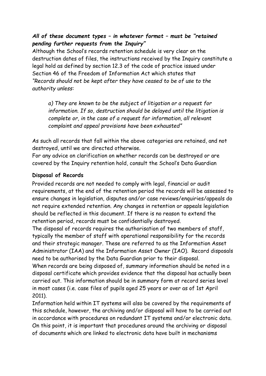#### *All of these document types – in whatever format – must be "retained pending further requests from the Inquiry"*

Although the School's records retention schedule is very clear on the destruction dates of files, the instructions received by the Inquiry constitute a legal hold as defined by section 12.3 of the code of practice issued under Section 46 of the Freedom of Information Act which states that *"Records should not be kept after they have ceased to be of use to the authority unless:*

*a) They are known to be the subject of litigation or a request for information. If so, destruction should be delayed until the litigation is complete or, in the case of a request for information, all relevant complaint and appeal provisions have been exhausted"*

As such all records that fall within the above categories are retained, and not destroyed, until we are directed otherwise.

For any advice on clarification on whether records can be destroyed or are covered by the Inquiry retention hold, consult the School's Data Guardian

#### <span id="page-5-0"></span>**Disposal of Records**

Provided records are not needed to comply with legal, financial or audit requirements, at the end of the retention period the records will be assessed to ensure changes in legislation, disputes and/or case reviews/enquiries/appeals do not require extended retention. Any changes in retention or appeals legislation should be reflected in this document. If there is no reason to extend the retention period, records must be confidentially destroyed.

The disposal of records requires the authorisation of two members of staff, typically the member of staff with operational responsibility for the records and their strategic manager. These are referred to as the Information Asset Administrator (IAA) and the Information Asset Owner (IAO). Record disposals need to be authorised by the Data Guardian prior to their disposal.

When records are being disposed of, summary information should be noted in a disposal certificate which provides evidence that the disposal has actually been carried out. This information should be in summary form at record series level in most cases (i.e. case files of pupils aged 25 years or over as of 1st April 2011).

Information held within IT systems will also be covered by the requirements of this schedule, however, the archiving and/or disposal will have to be carried out in accordance with procedures on redundant IT systems and/or electronic data. On this point, it is important that procedures around the archiving or disposal of documents which are linked to electronic data have built in mechanisms